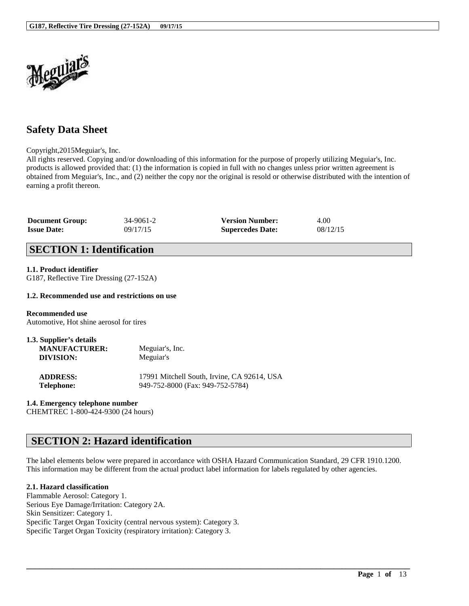

# **Safety Data Sheet**

Copyright,2015Meguiar's, Inc.

All rights reserved. Copying and/or downloading of this information for the purpose of properly utilizing Meguiar's, Inc. products is allowed provided that: (1) the information is copied in full with no changes unless prior written agreement is obtained from Meguiar's, Inc., and (2) neither the copy nor the original is resold or otherwise distributed with the intention of earning a profit thereon.

| <b>Document Group:</b> | 34-9061-2 | <b>Version Number:</b>  | 4.00     |
|------------------------|-----------|-------------------------|----------|
| <b>Issue Date:</b>     | 09/17/15  | <b>Supercedes Date:</b> | 08/12/15 |

# **SECTION 1: Identification**

### **1.1. Product identifier**

G187, Reflective Tire Dressing (27-152A)

### **1.2. Recommended use and restrictions on use**

**Recommended use** Automotive, Hot shine aerosol for tires

| 1.3. Supplier's details<br><b>MANUFACTURER:</b><br>DIVISION: | Meguiar's, Inc.<br>Meguiar's                |
|--------------------------------------------------------------|---------------------------------------------|
| <b>ADDRESS:</b>                                              | 17991 Mitchell South, Irvine, CA 92614, USA |

**Telephone:** 949-752-8000 (Fax: 949-752-5784)

#### **1.4. Emergency telephone number**

CHEMTREC 1-800-424-9300 (24 hours)

# **SECTION 2: Hazard identification**

The label elements below were prepared in accordance with OSHA Hazard Communication Standard, 29 CFR 1910.1200. This information may be different from the actual product label information for labels regulated by other agencies.

\_\_\_\_\_\_\_\_\_\_\_\_\_\_\_\_\_\_\_\_\_\_\_\_\_\_\_\_\_\_\_\_\_\_\_\_\_\_\_\_\_\_\_\_\_\_\_\_\_\_\_\_\_\_\_\_\_\_\_\_\_\_\_\_\_\_\_\_\_\_\_\_\_\_\_\_\_\_\_\_\_\_\_\_\_\_\_\_\_\_

#### **2.1. Hazard classification**

Flammable Aerosol: Category 1. Serious Eye Damage/Irritation: Category 2A. Skin Sensitizer: Category 1. Specific Target Organ Toxicity (central nervous system): Category 3. Specific Target Organ Toxicity (respiratory irritation): Category 3.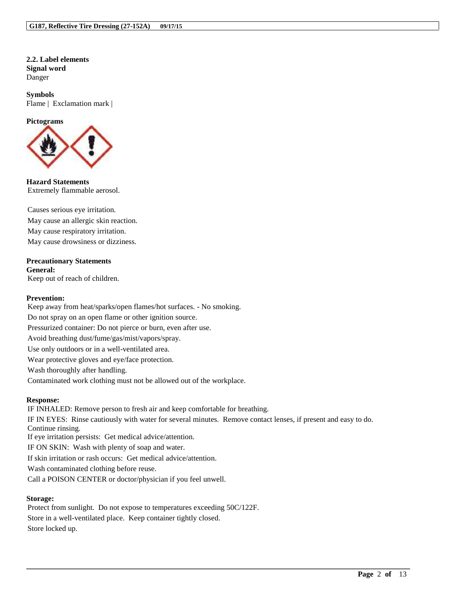**2.2. Label elements Signal word** Danger

**Symbols** Flame | Exclamation mark |

#### **Pictograms**



**Hazard Statements** Extremely flammable aerosol.

Causes serious eye irritation. May cause an allergic skin reaction. May cause respiratory irritation. May cause drowsiness or dizziness.

#### **Precautionary Statements General:**

Keep out of reach of children.

#### **Prevention:**

Keep away from heat/sparks/open flames/hot surfaces. - No smoking. Do not spray on an open flame or other ignition source. Pressurized container: Do not pierce or burn, even after use. Avoid breathing dust/fume/gas/mist/vapors/spray. Use only outdoors or in a well-ventilated area. Wear protective gloves and eye/face protection. Wash thoroughly after handling. Contaminated work clothing must not be allowed out of the workplace.

#### **Response:**

IF INHALED: Remove person to fresh air and keep comfortable for breathing. IF IN EYES: Rinse cautiously with water for several minutes. Remove contact lenses, if present and easy to do. Continue rinsing. If eye irritation persists: Get medical advice/attention. IF ON SKIN: Wash with plenty of soap and water. If skin irritation or rash occurs: Get medical advice/attention. Wash contaminated clothing before reuse. Call a POISON CENTER or doctor/physician if you feel unwell.

\_\_\_\_\_\_\_\_\_\_\_\_\_\_\_\_\_\_\_\_\_\_\_\_\_\_\_\_\_\_\_\_\_\_\_\_\_\_\_\_\_\_\_\_\_\_\_\_\_\_\_\_\_\_\_\_\_\_\_\_\_\_\_\_\_\_\_\_\_\_\_\_\_\_\_\_\_\_\_\_\_\_\_\_\_\_\_\_\_\_

#### **Storage:**

Protect from sunlight. Do not expose to temperatures exceeding 50C/122F. Store in a well-ventilated place. Keep container tightly closed. Store locked up.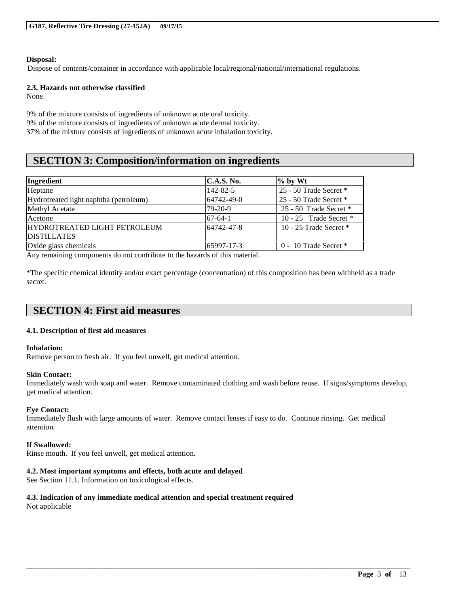#### **Disposal:**

Dispose of contents/container in accordance with applicable local/regional/national/international regulations.

#### **2.3. Hazards not otherwise classified**

None.

9% of the mixture consists of ingredients of unknown acute oral toxicity. 9% of the mixture consists of ingredients of unknown acute dermal toxicity. 37% of the mixture consists of ingredients of unknown acute inhalation toxicity.

# **SECTION 3: Composition/information on ingredients**

| Ingredient                             | C.A.S. No. | $%$ by Wt                 |
|----------------------------------------|------------|---------------------------|
| Heptane                                | 142-82-5   | 25 - 50 Trade Secret *    |
| Hydrotreated light naphtha (petroleum) | 64742-49-0 | 25 - 50 Trade Secret *    |
| Methyl Acetate                         | $79-20-9$  | 25 - 50 Trade Secret $*$  |
| Acetone                                | $67-64-1$  | 10 - 25 Trade Secret $*$  |
| <b>HYDROTREATED LIGHT PETROLEUM</b>    | 64742-47-8 | 10 - 25 Trade Secret $*$  |
| <b>DISTILLATES</b>                     |            |                           |
| Oxide glass chemicals                  | 65997-17-3 | $0 - 10$ Trade Secret $*$ |

Any remaining components do not contribute to the hazards of this material.

\*The specific chemical identity and/or exact percentage (concentration) of this composition has been withheld as a trade secret.

# **SECTION 4: First aid measures**

### **4.1. Description of first aid measures**

#### **Inhalation:**

Remove person to fresh air. If you feel unwell, get medical attention.

#### **Skin Contact:**

Immediately wash with soap and water. Remove contaminated clothing and wash before reuse. If signs/symptoms develop, get medical attention.

\_\_\_\_\_\_\_\_\_\_\_\_\_\_\_\_\_\_\_\_\_\_\_\_\_\_\_\_\_\_\_\_\_\_\_\_\_\_\_\_\_\_\_\_\_\_\_\_\_\_\_\_\_\_\_\_\_\_\_\_\_\_\_\_\_\_\_\_\_\_\_\_\_\_\_\_\_\_\_\_\_\_\_\_\_\_\_\_\_\_

### **Eye Contact:**

Immediately flush with large amounts of water. Remove contact lenses if easy to do. Continue rinsing. Get medical attention.

#### **If Swallowed:**

Rinse mouth. If you feel unwell, get medical attention.

### **4.2. Most important symptoms and effects, both acute and delayed**

See Section 11.1. Information on toxicological effects.

### **4.3. Indication of any immediate medical attention and special treatment required**

Not applicable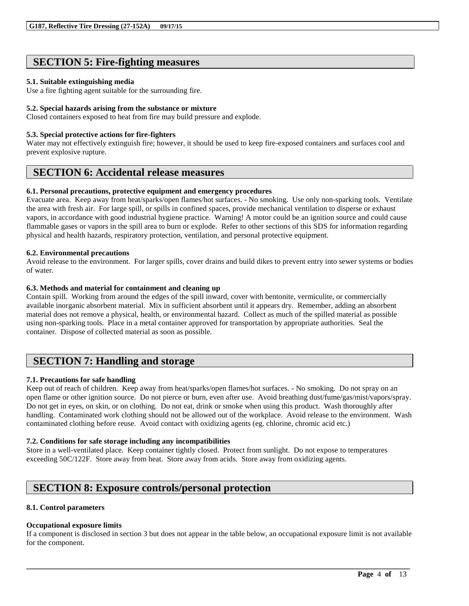# **SECTION 5: Fire-fighting measures**

### **5.1. Suitable extinguishing media**

Use a fire fighting agent suitable for the surrounding fire.

### **5.2. Special hazards arising from the substance or mixture**

Closed containers exposed to heat from fire may build pressure and explode.

### **5.3. Special protective actions for fire-fighters**

Water may not effectively extinguish fire; however, it should be used to keep fire-exposed containers and surfaces cool and prevent explosive rupture.

# **SECTION 6: Accidental release measures**

### **6.1. Personal precautions, protective equipment and emergency procedures**

Evacuate area. Keep away from heat/sparks/open flames/hot surfaces. - No smoking. Use only non-sparking tools. Ventilate the area with fresh air. For large spill, or spills in confined spaces, provide mechanical ventilation to disperse or exhaust vapors, in accordance with good industrial hygiene practice. Warning! A motor could be an ignition source and could cause flammable gases or vapors in the spill area to burn or explode. Refer to other sections of this SDS for information regarding physical and health hazards, respiratory protection, ventilation, and personal protective equipment.

### **6.2. Environmental precautions**

Avoid release to the environment. For larger spills, cover drains and build dikes to prevent entry into sewer systems or bodies of water.

### **6.3. Methods and material for containment and cleaning up**

Contain spill. Working from around the edges of the spill inward, cover with bentonite, vermiculite, or commercially available inorganic absorbent material. Mix in sufficient absorbent until it appears dry. Remember, adding an absorbent material does not remove a physical, health, or environmental hazard. Collect as much of the spilled material as possible using non-sparking tools. Place in a metal container approved for transportation by appropriate authorities. Seal the container. Dispose of collected material as soon as possible.

# **SECTION 7: Handling and storage**

### **7.1. Precautions for safe handling**

Keep out of reach of children. Keep away from heat/sparks/open flames/hot surfaces. - No smoking. Do not spray on an open flame or other ignition source. Do not pierce or burn, even after use. Avoid breathing dust/fume/gas/mist/vapors/spray. Do not get in eyes, on skin, or on clothing. Do not eat, drink or smoke when using this product. Wash thoroughly after handling. Contaminated work clothing should not be allowed out of the workplace. Avoid release to the environment. Wash contaminated clothing before reuse. Avoid contact with oxidizing agents (eg. chlorine, chromic acid etc.)

### **7.2. Conditions for safe storage including any incompatibilities**

Store in a well-ventilated place. Keep container tightly closed. Protect from sunlight. Do not expose to temperatures exceeding 50C/122F. Store away from heat. Store away from acids. Store away from oxidizing agents.

# **SECTION 8: Exposure controls/personal protection**

### **8.1. Control parameters**

#### **Occupational exposure limits**

If a component is disclosed in section 3 but does not appear in the table below, an occupational exposure limit is not available for the component.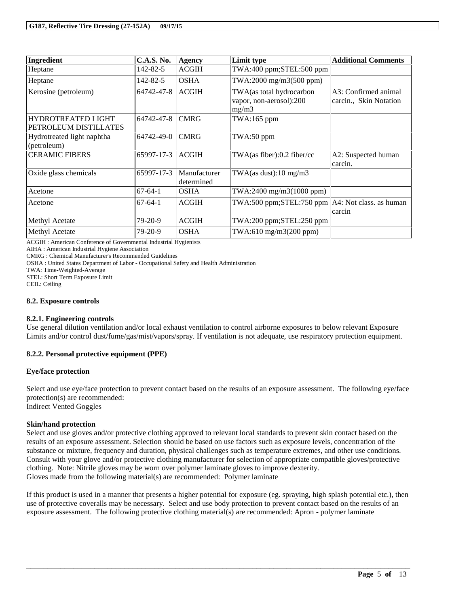| Ingredient                                         | <b>C.A.S. No.</b> | <b>Agency</b>              | Limit type                                                   | <b>Additional Comments</b>                     |
|----------------------------------------------------|-------------------|----------------------------|--------------------------------------------------------------|------------------------------------------------|
| Heptane                                            | 142-82-5          | <b>ACGIH</b>               | TWA:400 ppm;STEL:500 ppm                                     |                                                |
| Heptane                                            | 142-82-5          | <b>OSHA</b>                | $TWA:2000$ mg/m $3(500$ ppm)                                 |                                                |
| Kerosine (petroleum)                               | 64742-47-8        | <b>ACGIH</b>               | TWA(as total hydrocarbon<br>vapor, non-aerosol):200<br>mg/m3 | A3: Confirmed animal<br>carcin., Skin Notation |
| <b>HYDROTREATED LIGHT</b><br>PETROLEUM DISTILLATES | 64742-47-8        | <b>CMRG</b>                | $TWA:165$ ppm                                                |                                                |
| Hydrotreated light naphtha<br>(petroleum)          | 64742-49-0        | <b>CMRG</b>                | TWA:50 ppm                                                   |                                                |
| <b>CERAMIC FIBERS</b>                              | 65997-17-3        | <b>ACGIH</b>               | TWA(as fiber):0.2 fiber/cc                                   | A2: Suspected human<br>carcin.                 |
| Oxide glass chemicals                              | 65997-17-3        | Manufacturer<br>determined | TWA(as dust):10 mg/m3                                        |                                                |
| Acetone                                            | $67-64-1$         | <b>OSHA</b>                | TWA:2400 mg/m3(1000 ppm)                                     |                                                |
| Acetone                                            | $67-64-1$         | <b>ACGIH</b>               | $TWA:500$ ppm; $STEL:750$ ppm $AA:$ Not class. as human      | carcin                                         |
| Methyl Acetate                                     | 79-20-9           | <b>ACGIH</b>               | $TWA:200$ ppm; $STEL:250$ ppm                                |                                                |
| Methyl Acetate                                     | 79-20-9           | <b>OSHA</b>                | TWA:610 mg/m3(200 ppm)                                       |                                                |

ACGIH : American Conference of Governmental Industrial Hygienists

AIHA : American Industrial Hygiene Association

CMRG : Chemical Manufacturer's Recommended Guidelines

OSHA : United States Department of Labor - Occupational Safety and Health Administration

TWA: Time-Weighted-Average

STEL: Short Term Exposure Limit

CEIL: Ceiling

#### **8.2. Exposure controls**

#### **8.2.1. Engineering controls**

Use general dilution ventilation and/or local exhaust ventilation to control airborne exposures to below relevant Exposure Limits and/or control dust/fume/gas/mist/vapors/spray. If ventilation is not adequate, use respiratory protection equipment.

### **8.2.2. Personal protective equipment (PPE)**

#### **Eye/face protection**

Select and use eye/face protection to prevent contact based on the results of an exposure assessment. The following eye/face protection(s) are recommended:

Indirect Vented Goggles

### **Skin/hand protection**

Select and use gloves and/or protective clothing approved to relevant local standards to prevent skin contact based on the results of an exposure assessment. Selection should be based on use factors such as exposure levels, concentration of the substance or mixture, frequency and duration, physical challenges such as temperature extremes, and other use conditions. Consult with your glove and/or protective clothing manufacturer for selection of appropriate compatible gloves/protective clothing. Note: Nitrile gloves may be worn over polymer laminate gloves to improve dexterity. Gloves made from the following material(s) are recommended: Polymer laminate

If this product is used in a manner that presents a higher potential for exposure (eg. spraying, high splash potential etc.), then use of protective coveralls may be necessary. Select and use body protection to prevent contact based on the results of an exposure assessment. The following protective clothing material(s) are recommended: Apron - polymer laminate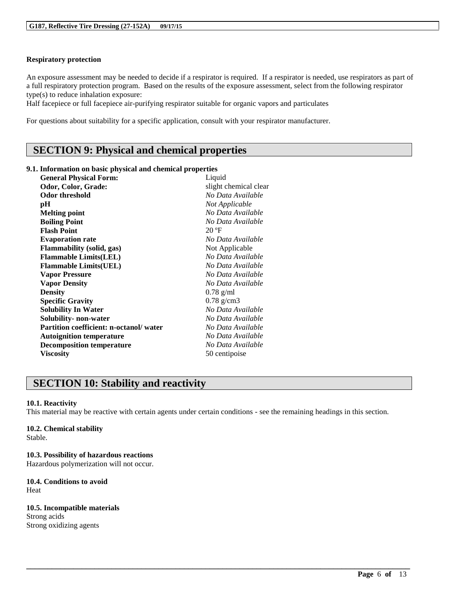### **Respiratory protection**

An exposure assessment may be needed to decide if a respirator is required. If a respirator is needed, use respirators as part of a full respiratory protection program. Based on the results of the exposure assessment, select from the following respirator type(s) to reduce inhalation exposure:

Half facepiece or full facepiece air-purifying respirator suitable for organic vapors and particulates

For questions about suitability for a specific application, consult with your respirator manufacturer.

# **SECTION 9: Physical and chemical properties**

#### **9.1. Information on basic physical and chemical properties**

| <b>General Physical Form:</b>          | Liquid                |
|----------------------------------------|-----------------------|
| Odor, Color, Grade:                    | slight chemical clear |
| <b>Odor threshold</b>                  | No Data Available     |
| pН                                     | Not Applicable        |
| <b>Melting point</b>                   | No Data Available     |
| <b>Boiling Point</b>                   | No Data Available     |
| <b>Flash Point</b>                     | $20 \text{°F}$        |
| <b>Evaporation rate</b>                | No Data Available     |
| <b>Flammability</b> (solid, gas)       | Not Applicable        |
| <b>Flammable Limits(LEL)</b>           | No Data Available     |
| <b>Flammable Limits(UEL)</b>           | No Data Available     |
| <b>Vapor Pressure</b>                  | No Data Available     |
| <b>Vapor Density</b>                   | No Data Available     |
| <b>Density</b>                         | $0.78$ g/ml           |
| <b>Specific Gravity</b>                | $0.78$ g/cm3          |
| <b>Solubility In Water</b>             | No Data Available     |
| Solubility- non-water                  | No Data Available     |
| Partition coefficient: n-octanol/water | No Data Available     |
| <b>Autoignition temperature</b>        | No Data Available     |
| <b>Decomposition temperature</b>       | No Data Available     |
| <b>Viscosity</b>                       | 50 centipoise         |

# **SECTION 10: Stability and reactivity**

#### **10.1. Reactivity**

This material may be reactive with certain agents under certain conditions - see the remaining headings in this section.

\_\_\_\_\_\_\_\_\_\_\_\_\_\_\_\_\_\_\_\_\_\_\_\_\_\_\_\_\_\_\_\_\_\_\_\_\_\_\_\_\_\_\_\_\_\_\_\_\_\_\_\_\_\_\_\_\_\_\_\_\_\_\_\_\_\_\_\_\_\_\_\_\_\_\_\_\_\_\_\_\_\_\_\_\_\_\_\_\_\_

#### **10.2. Chemical stability** Stable.

**10.3. Possibility of hazardous reactions** Hazardous polymerization will not occur.

**10.4. Conditions to avoid** Heat

**10.5. Incompatible materials** Strong acids Strong oxidizing agents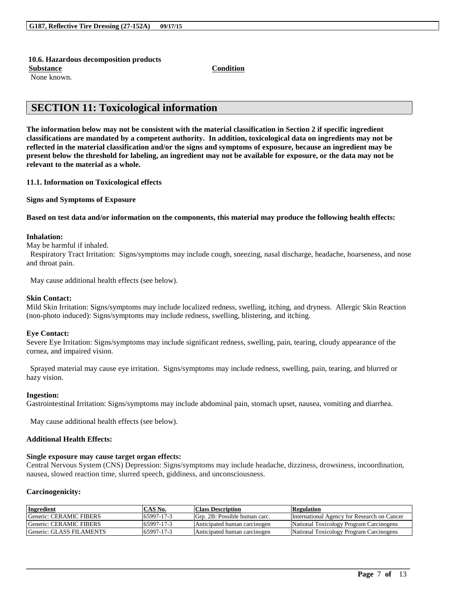#### **10.6. Hazardous decomposition products**

**Substance Condition**

None known.

# **SECTION 11: Toxicological information**

**The information below may not be consistent with the material classification in Section 2 if specific ingredient classifications are mandated by a competent authority. In addition, toxicological data on ingredients may not be reflected in the material classification and/or the signs and symptoms of exposure, because an ingredient may be present below the threshold for labeling, an ingredient may not be available for exposure, or the data may not be relevant to the material as a whole.**

**11.1. Information on Toxicological effects**

**Signs and Symptoms of Exposure**

**Based on test data and/or information on the components, this material may produce the following health effects:**

#### **Inhalation:**

May be harmful if inhaled.

Respiratory Tract Irritation: Signs/symptoms may include cough, sneezing, nasal discharge, headache, hoarseness, and nose and throat pain.

May cause additional health effects (see below).

#### **Skin Contact:**

Mild Skin Irritation: Signs/symptoms may include localized redness, swelling, itching, and dryness. Allergic Skin Reaction (non-photo induced): Signs/symptoms may include redness, swelling, blistering, and itching.

#### **Eye Contact:**

Severe Eye Irritation: Signs/symptoms may include significant redness, swelling, pain, tearing, cloudy appearance of the cornea, and impaired vision.

Sprayed material may cause eye irritation. Signs/symptoms may include redness, swelling, pain, tearing, and blurred or hazy vision.

#### **Ingestion:**

Gastrointestinal Irritation: Signs/symptoms may include abdominal pain, stomach upset, nausea, vomiting and diarrhea.

May cause additional health effects (see below).

#### **Additional Health Effects:**

#### **Single exposure may cause target organ effects:**

Central Nervous System (CNS) Depression: Signs/symptoms may include headache, dizziness, drowsiness, incoordination, nausea, slowed reaction time, slurred speech, giddiness, and unconsciousness.

#### **Carcinogenicity:**

| <b>Ingredient</b>        | CAS No.    | <b>Class Description</b>      | <b>Regulation</b>                           |
|--------------------------|------------|-------------------------------|---------------------------------------------|
| Generic: CERAMIC FIBERS  | 65997-17-3 | Grp. 2B: Possible human carc. | International Agency for Research on Cancer |
| Generic: CERAMIC FIBERS  | 65997-17-3 | Anticipated human carcinogen  | National Toxicology Program Carcinogens     |
| Generic: GLASS FILAMENTS | 65997-17-3 | Anticipated human carcinogen  | National Toxicology Program Carcinogens     |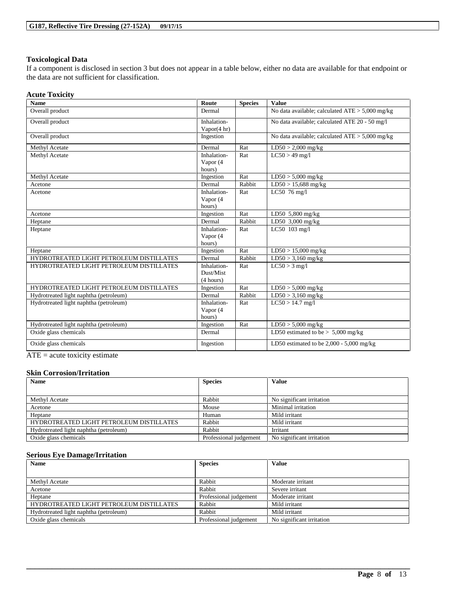### **Toxicological Data**

If a component is disclosed in section 3 but does not appear in a table below, either no data are available for that endpoint or the data are not sufficient for classification.

#### **Acute Toxicity**

| <b>Name</b>                              | Route                                 | <b>Species</b> | <b>Value</b>                                      |
|------------------------------------------|---------------------------------------|----------------|---------------------------------------------------|
| Overall product                          | Dermal                                |                | No data available; calculated $ATE > 5,000$ mg/kg |
| Overall product                          | Inhalation-<br>Vapor $(4 hr)$         |                | No data available; calculated ATE 20 - 50 mg/l    |
| Overall product                          | Ingestion                             |                | No data available; calculated $ATE > 5,000$ mg/kg |
| Methyl Acetate                           | Dermal                                | Rat            | $LD50 > 2,000$ mg/kg                              |
| Methyl Acetate                           | Inhalation-<br>Vapor (4<br>hours)     | Rat            | $LC50 > 49$ mg/l                                  |
| Methyl Acetate                           | Ingestion                             | Rat            | $LD50 > 5,000$ mg/kg                              |
| Acetone                                  | Dermal                                | Rabbit         | $LD50 > 15,688$ mg/kg                             |
| Acetone                                  | Inhalation-<br>Vapor (4<br>hours)     | Rat            | LC50 76 mg/l                                      |
| Acetone                                  | Ingestion                             | Rat            | LD50 5,800 mg/kg                                  |
| Heptane                                  | Dermal                                | Rabbit         | LD50 3,000 mg/kg                                  |
| Heptane                                  | Inhalation-<br>Vapor (4<br>hours)     | Rat            | LC50 103 mg/l                                     |
| Heptane                                  | Ingestion                             | Rat            | $LD50 > 15,000$ mg/kg                             |
| HYDROTREATED LIGHT PETROLEUM DISTILLATES | Dermal                                | Rabbit         | $LD50 > 3,160$ mg/kg                              |
| HYDROTREATED LIGHT PETROLEUM DISTILLATES | Inhalation-<br>Dust/Mist<br>(4 hours) | Rat            | $LC50 > 3$ mg/l                                   |
| HYDROTREATED LIGHT PETROLEUM DISTILLATES | Ingestion                             | Rat            | $LD50 > 5,000$ mg/kg                              |
| Hydrotreated light naphtha (petroleum)   | Dermal                                | Rabbit         | $LD50 > 3,160$ mg/kg                              |
| Hydrotreated light naphtha (petroleum)   | Inhalation-<br>Vapor (4<br>hours)     | Rat            | $LC50 > 14.7$ mg/l                                |
| Hydrotreated light naphtha (petroleum)   | Ingestion                             | Rat            | $LD50 > 5,000$ mg/kg                              |
| Oxide glass chemicals                    | Dermal                                |                | LD50 estimated to be $> 5,000$ mg/kg              |
| Oxide glass chemicals                    | Ingestion                             |                | LD50 estimated to be $2,000 - 5,000$ mg/kg        |

 $ATE = acute$  toxicity estimate

#### **Skin Corrosion/Irritation**

| <b>Species</b><br><b>Name</b>            |                        | <b>Value</b>              |
|------------------------------------------|------------------------|---------------------------|
|                                          |                        |                           |
| Methyl Acetate                           | Rabbit                 | No significant irritation |
| Acetone                                  | Mouse                  | Minimal irritation        |
| Heptane                                  | Human                  | Mild irritant             |
| HYDROTREATED LIGHT PETROLEUM DISTILLATES | Rabbit                 | Mild irritant             |
| Hydrotreated light naphtha (petroleum)   | Rabbit                 | Irritant                  |
| Oxide glass chemicals                    | Professional judgement | No significant irritation |

#### **Serious Eye Damage/Irritation**

| <b>Name</b>                              | <b>Species</b>         | <b>Value</b>              |
|------------------------------------------|------------------------|---------------------------|
|                                          |                        |                           |
| Methyl Acetate                           | Rabbit                 | Moderate irritant         |
| Acetone                                  | Rabbit                 | Severe irritant           |
| Heptane                                  | Professional judgement | Moderate irritant         |
| HYDROTREATED LIGHT PETROLEUM DISTILLATES | Rabbit                 | Mild irritant             |
| Hydrotreated light naphtha (petroleum)   | Rabbit                 | Mild irritant             |
| Oxide glass chemicals                    | Professional judgement | No significant irritation |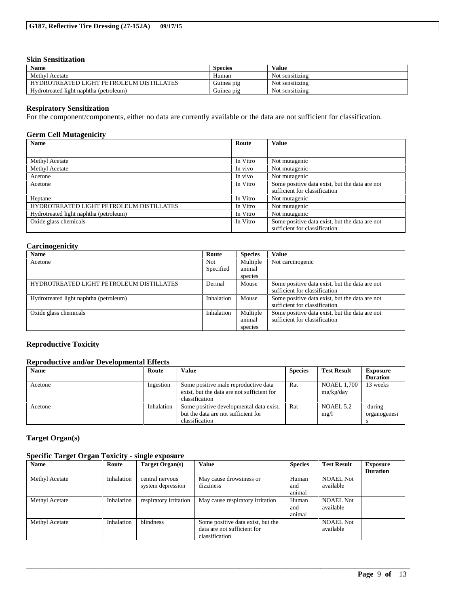### **Skin Sensitization**

| <b>Name</b>                              | <b>Species</b> | Value           |
|------------------------------------------|----------------|-----------------|
| Methyl Acetate                           | Human          | Not sensitizing |
| HYDROTREATED LIGHT PETROLEUM DISTILLATES | Guinea pig     | Not sensitizing |
| Hydrotreated light naphtha (petroleum)   | Guinea pig     | Not sensitizing |

### **Respiratory Sensitization**

For the component/components, either no data are currently available or the data are not sufficient for classification.

### **Germ Cell Mutagenicity**

| <b>Name</b>                              | Route    | <b>Value</b>                                                                    |
|------------------------------------------|----------|---------------------------------------------------------------------------------|
|                                          |          |                                                                                 |
| Methyl Acetate                           | In Vitro | Not mutagenic                                                                   |
| Methyl Acetate                           | In vivo  | Not mutagenic                                                                   |
| Acetone                                  | In vivo  | Not mutagenic                                                                   |
| Acetone                                  | In Vitro | Some positive data exist, but the data are not<br>sufficient for classification |
| Heptane                                  | In Vitro | Not mutagenic                                                                   |
| HYDROTREATED LIGHT PETROLEUM DISTILLATES | In Vitro | Not mutagenic                                                                   |
| Hydrotreated light naphtha (petroleum)   | In Vitro | Not mutagenic                                                                   |
| Oxide glass chemicals                    | In Vitro | Some positive data exist, but the data are not<br>sufficient for classification |

### **Carcinogenicity**

| <b>Name</b>                              | Route      | <b>Species</b> | <b>Value</b>                                   |
|------------------------------------------|------------|----------------|------------------------------------------------|
| Acetone                                  | Not        | Multiple       | Not carcinogenic                               |
|                                          | Specified  | animal         |                                                |
|                                          |            | species        |                                                |
| HYDROTREATED LIGHT PETROLEUM DISTILLATES | Dermal     | Mouse          | Some positive data exist, but the data are not |
|                                          |            |                | sufficient for classification                  |
| Hydrotreated light naphtha (petroleum)   | Inhalation | Mouse          | Some positive data exist, but the data are not |
|                                          |            |                | sufficient for classification                  |
| Oxide glass chemicals                    | Inhalation | Multiple       | Some positive data exist, but the data are not |
|                                          |            | animal         | sufficient for classification                  |
|                                          |            | species        |                                                |

### **Reproductive Toxicity**

### **Reproductive and/or Developmental Effects**

| <b>Name</b> | Route      | Value                                                                                                | <b>Species</b> | <b>Test Result</b>       | <b>Exposure</b>        |
|-------------|------------|------------------------------------------------------------------------------------------------------|----------------|--------------------------|------------------------|
|             |            |                                                                                                      |                |                          | <b>Duration</b>        |
| Acetone     | Ingestion  | Some positive male reproductive data<br>exist, but the data are not sufficient for<br>classification | Rat            | NOAEL 1,700<br>mg/kg/day | 13 weeks               |
| Acetone     | Inhalation | Some positive developmental data exist,<br>but the data are not sufficient for<br>classification     | Rat            | NOAEL 5.2<br>mg/1        | during<br>organogenesi |

### **Target Organ(s)**

### **Specific Target Organ Toxicity - single exposure**

| <b>Name</b>    | Route      | Target Organ(s)                      | <b>Value</b>                                                                       | <b>Species</b>         | <b>Test Result</b>            | Exposure<br><b>Duration</b> |
|----------------|------------|--------------------------------------|------------------------------------------------------------------------------------|------------------------|-------------------------------|-----------------------------|
| Methyl Acetate | Inhalation | central nervous<br>system depression | May cause drowsiness or<br>dizziness                                               | Human<br>and<br>animal | <b>NOAEL Not</b><br>available |                             |
| Methyl Acetate | Inhalation | respiratory irritation               | May cause respiratory irritation                                                   | Human<br>and<br>animal | <b>NOAEL Not</b><br>available |                             |
| Methyl Acetate | Inhalation | blindness                            | Some positive data exist, but the<br>data are not sufficient for<br>classification |                        | <b>NOAEL Not</b><br>available |                             |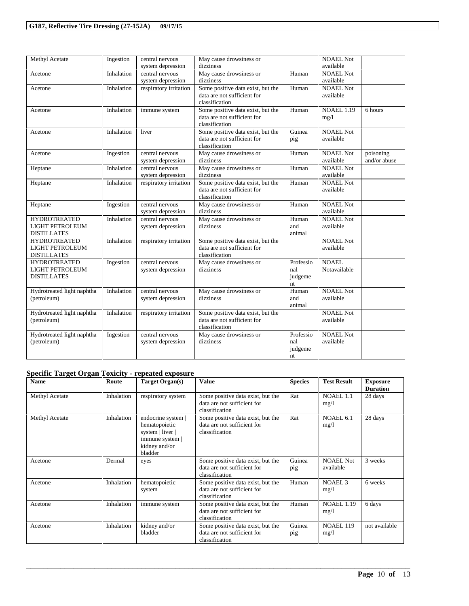| Methyl Acetate             | Ingestion  | central nervous        | May cause drowsiness or           |           | <b>NOAEL Not</b>  |              |
|----------------------------|------------|------------------------|-----------------------------------|-----------|-------------------|--------------|
|                            |            | system depression      | dizziness                         |           | available         |              |
| Acetone                    | Inhalation | central nervous        | May cause drowsiness or           | Human     | <b>NOAEL Not</b>  |              |
|                            |            | system depression      | dizziness                         |           | available         |              |
| Acetone                    | Inhalation | respiratory irritation | Some positive data exist, but the | Human     | <b>NOAEL Not</b>  |              |
|                            |            |                        | data are not sufficient for       |           | available         |              |
|                            |            |                        | classification                    |           |                   |              |
| Acetone                    | Inhalation | immune system          | Some positive data exist, but the | Human     | <b>NOAEL 1.19</b> | 6 hours      |
|                            |            |                        | data are not sufficient for       |           | mg/1              |              |
|                            |            |                        | classification                    |           |                   |              |
| Acetone                    | Inhalation | liver                  | Some positive data exist, but the | Guinea    | <b>NOAEL Not</b>  |              |
|                            |            |                        | data are not sufficient for       | pig       | available         |              |
|                            |            |                        | classification                    |           |                   |              |
| Acetone                    | Ingestion  | central nervous        | May cause drowsiness or           | Human     | <b>NOAEL Not</b>  | poisoning    |
|                            |            | system depression      | dizziness                         |           | available         | and/or abuse |
| Heptane                    | Inhalation | central nervous        | May cause drowsiness or           | Human     | <b>NOAEL Not</b>  |              |
|                            |            | system depression      | dizziness                         |           | available         |              |
| Heptane                    | Inhalation | respiratory irritation | Some positive data exist, but the | Human     | <b>NOAEL Not</b>  |              |
|                            |            |                        | data are not sufficient for       |           | available         |              |
|                            |            |                        | classification                    |           |                   |              |
| Heptane                    | Ingestion  | central nervous        | May cause drowsiness or           | Human     | <b>NOAEL Not</b>  |              |
|                            |            | system depression      | dizziness                         |           | available         |              |
| <b>HYDROTREATED</b>        | Inhalation | central nervous        | May cause drowsiness or           | Human     | <b>NOAEL Not</b>  |              |
| LIGHT PETROLEUM            |            | system depression      | dizziness                         | and       | available         |              |
| <b>DISTILLATES</b>         |            |                        |                                   | animal    |                   |              |
| <b>HYDROTREATED</b>        | Inhalation | respiratory irritation | Some positive data exist, but the |           | <b>NOAEL Not</b>  |              |
| <b>LIGHT PETROLEUM</b>     |            |                        | data are not sufficient for       |           | available         |              |
| <b>DISTILLATES</b>         |            |                        | classification                    |           |                   |              |
| <b>HYDROTREATED</b>        | Ingestion  | central nervous        | May cause drowsiness or           | Professio | <b>NOAEL</b>      |              |
| LIGHT PETROLEUM            |            | system depression      | dizziness                         | nal       | Notavailable      |              |
| <b>DISTILLATES</b>         |            |                        |                                   | judgeme   |                   |              |
|                            |            |                        |                                   | nt        |                   |              |
| Hydrotreated light naphtha | Inhalation | central nervous        | May cause drowsiness or           | Human     | <b>NOAEL Not</b>  |              |
| (petroleum)                |            | system depression      | dizziness                         | and       | available         |              |
|                            |            |                        |                                   | animal    |                   |              |
| Hydrotreated light naphtha | Inhalation | respiratory irritation | Some positive data exist, but the |           | <b>NOAEL Not</b>  |              |
| (petroleum)                |            |                        | data are not sufficient for       |           | available         |              |
|                            |            |                        | classification                    |           |                   |              |
| Hydrotreated light naphtha | Ingestion  | central nervous        | May cause drowsiness or           | Professio | <b>NOAEL Not</b>  |              |
| (petroleum)                |            | system depression      | dizziness                         | nal       | available         |              |
|                            |            |                        |                                   | judgeme   |                   |              |
|                            |            |                        |                                   | nt        |                   |              |
|                            |            |                        |                                   |           |                   |              |

# **Specific Target Organ Toxicity - repeated exposure**

| <b>Name</b>    | Route      | Target Organ(s)                                                                                      | <b>Value</b>                                                                       | <b>Species</b> | <b>Test Result</b>            | <b>Exposure</b><br><b>Duration</b> |
|----------------|------------|------------------------------------------------------------------------------------------------------|------------------------------------------------------------------------------------|----------------|-------------------------------|------------------------------------|
| Methyl Acetate | Inhalation | respiratory system                                                                                   | Some positive data exist, but the<br>data are not sufficient for<br>classification | Rat            | <b>NOAEL 1.1</b><br>mg/l      | 28 days                            |
| Methyl Acetate | Inhalation | endocrine system<br>hematopoietic<br>system   liver  <br>immune system  <br>kidney and/or<br>bladder | Some positive data exist, but the<br>data are not sufficient for<br>classification | Rat            | NOAEL <sub>6.1</sub><br>mg/1  | 28 days                            |
| Acetone        | Dermal     | eyes                                                                                                 | Some positive data exist, but the<br>data are not sufficient for<br>classification | Guinea<br>pig  | <b>NOAEL Not</b><br>available | 3 weeks                            |
| Acetone        | Inhalation | hematopoietic<br>system                                                                              | Some positive data exist, but the<br>data are not sufficient for<br>classification | Human          | <b>NOAEL 3</b><br>mg/1        | 6 weeks                            |
| Acetone        | Inhalation | immune system                                                                                        | Some positive data exist, but the<br>data are not sufficient for<br>classification | Human          | <b>NOAEL 1.19</b><br>mg/l     | 6 days                             |
| Acetone        | Inhalation | kidney and/or<br>bladder                                                                             | Some positive data exist, but the<br>data are not sufficient for<br>classification | Guinea<br>pig  | <b>NOAEL 119</b><br>mg/l      | not available                      |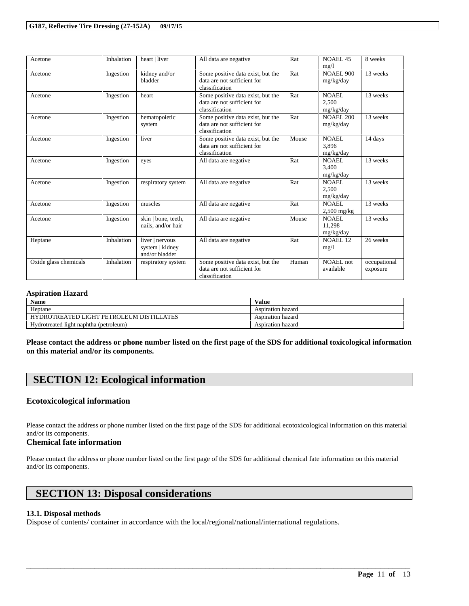| Acetone               | Inhalation | heart   liver                                        | All data are negative                                                              | Rat   | <b>NOAEL 45</b><br>mg/l             | 8 weeks                  |
|-----------------------|------------|------------------------------------------------------|------------------------------------------------------------------------------------|-------|-------------------------------------|--------------------------|
| Acetone               | Ingestion  | kidney and/or<br>bladder                             | Some positive data exist, but the<br>data are not sufficient for<br>classification | Rat   | <b>NOAEL 900</b><br>mg/kg/day       | 13 weeks                 |
| Acetone               | Ingestion  | heart                                                | Some positive data exist, but the<br>data are not sufficient for<br>classification | Rat   | <b>NOAEL</b><br>2,500<br>mg/kg/day  | 13 weeks                 |
| Acetone               | Ingestion  | hematopoietic<br>system                              | Some positive data exist, but the<br>data are not sufficient for<br>classification | Rat   | <b>NOAEL 200</b><br>mg/kg/day       | 13 weeks                 |
| Acetone               | Ingestion  | liver                                                | Some positive data exist, but the<br>data are not sufficient for<br>classification | Mouse | NOAEL.<br>3.896<br>mg/kg/day        | 14 days                  |
| Acetone               | Ingestion  | eyes                                                 | All data are negative                                                              | Rat   | NOAEL.<br>3.400<br>mg/kg/day        | 13 weeks                 |
| Acetone               | Ingestion  | respiratory system                                   | All data are negative                                                              | Rat   | <b>NOAEL</b><br>2,500<br>mg/kg/day  | 13 weeks                 |
| Acetone               | Ingestion  | muscles                                              | All data are negative                                                              | Rat   | NOAEL.<br>$2,500$ mg/kg             | 13 weeks                 |
| Acetone               | Ingestion  | skin   bone, teeth,<br>nails, and/or hair            | All data are negative                                                              | Mouse | <b>NOAEL</b><br>11.298<br>mg/kg/day | 13 weeks                 |
| Heptane               | Inhalation | liver   nervous<br>system   kidney<br>and/or bladder | All data are negative                                                              | Rat   | NOAEL <sub>12</sub><br>mg/1         | 26 weeks                 |
| Oxide glass chemicals | Inhalation | respiratory system                                   | Some positive data exist, but the<br>data are not sufficient for<br>classification | Human | NOAEL not<br>available              | occupational<br>exposure |

#### **Aspiration Hazard**

| <b>Name</b>                                              | Value             |
|----------------------------------------------------------|-------------------|
| Heptane                                                  | Aspiration hazard |
| HYDROTREATED LIGHT PETROLEUM<br>' DISTILL<br><b>ATES</b> | Aspiration hazard |
| Hydrotreated light naphtha (petroleum)                   | Aspiration hazard |

**Please contact the address or phone number listed on the first page of the SDS for additional toxicological information on this material and/or its components.**

# **SECTION 12: Ecological information**

#### **Ecotoxicological information**

Please contact the address or phone number listed on the first page of the SDS for additional ecotoxicological information on this material and/or its components.

#### **Chemical fate information**

Please contact the address or phone number listed on the first page of the SDS for additional chemical fate information on this material and/or its components.

\_\_\_\_\_\_\_\_\_\_\_\_\_\_\_\_\_\_\_\_\_\_\_\_\_\_\_\_\_\_\_\_\_\_\_\_\_\_\_\_\_\_\_\_\_\_\_\_\_\_\_\_\_\_\_\_\_\_\_\_\_\_\_\_\_\_\_\_\_\_\_\_\_\_\_\_\_\_\_\_\_\_\_\_\_\_\_\_\_\_

# **SECTION 13: Disposal considerations**

### **13.1. Disposal methods**

Dispose of contents/ container in accordance with the local/regional/national/international regulations.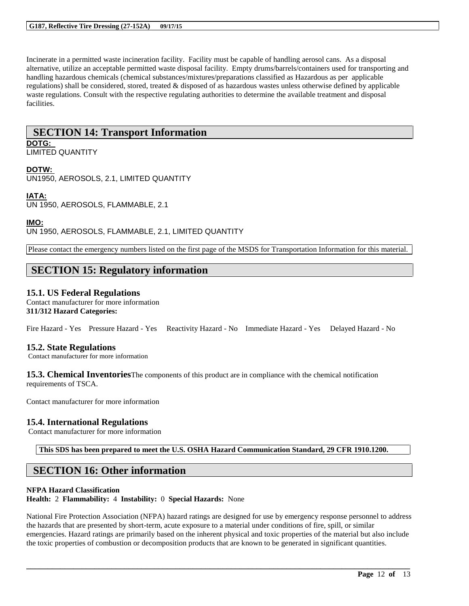Incinerate in a permitted waste incineration facility. Facility must be capable of handling aerosol cans. As a disposal alternative, utilize an acceptable permitted waste disposal facility. Empty drums/barrels/containers used for transporting and handling hazardous chemicals (chemical substances/mixtures/preparations classified as Hazardous as per applicable regulations) shall be considered, stored, treated & disposed of as hazardous wastes unless otherwise defined by applicable waste regulations. Consult with the respective regulating authorities to determine the available treatment and disposal facilities.

### **SECTION 14: Transport Information DOTG:**

LIMITED QUANTITY

### **DOTW:**

UN1950, AEROSOLS, 2.1, LIMITED QUANTITY

## **IATA:**

UN 1950, AEROSOLS, FLAMMABLE, 2.1

### **IMO:**

UN 1950, AEROSOLS, FLAMMABLE, 2.1, LIMITED QUANTITY

Please contact the emergency numbers listed on the first page of the MSDS for Transportation Information for this material.

# **SECTION 15: Regulatory information**

### **15.1. US Federal Regulations**

Contact manufacturer for more information **311/312 Hazard Categories:**

Fire Hazard - Yes Pressure Hazard - Yes Reactivity Hazard - No Immediate Hazard - Yes Delayed Hazard - No

### **15.2. State Regulations**

Contact manufacturer for more information

**15.3. Chemical Inventories**The components of this product are in compliance with the chemical notification requirements of TSCA.

Contact manufacturer for more information

### **15.4. International Regulations**

Contact manufacturer for more information

**This SDS has been prepared to meet the U.S. OSHA Hazard Communication Standard, 29 CFR 1910.1200.**

# **SECTION 16: Other information**

### **NFPA Hazard Classification**

**Health:** 2 **Flammability:** 4 **Instability:** 0 **Special Hazards:** None

National Fire Protection Association (NFPA) hazard ratings are designed for use by emergency response personnel to address the hazards that are presented by short-term, acute exposure to a material under conditions of fire, spill, or similar emergencies. Hazard ratings are primarily based on the inherent physical and toxic properties of the material but also include the toxic properties of combustion or decomposition products that are known to be generated in significant quantities.